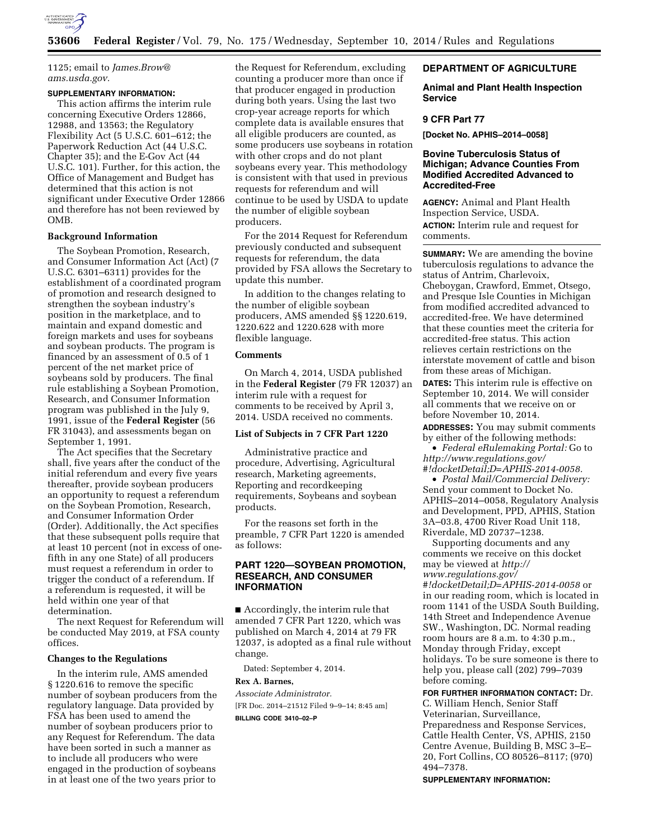

1125; email to *[James.Brow@](mailto:James.Brow@ams.usda.gov) [ams.usda.gov.](mailto:James.Brow@ams.usda.gov)* 

### **SUPPLEMENTARY INFORMATION:**

This action affirms the interim rule concerning Executive Orders 12866, 12988, and 13563; the Regulatory Flexibility Act (5 U.S.C. 601–612; the Paperwork Reduction Act (44 U.S.C. Chapter 35); and the E-Gov Act (44 U.S.C. 101). Further, for this action, the Office of Management and Budget has determined that this action is not significant under Executive Order 12866 and therefore has not been reviewed by OMB.

## **Background Information**

The Soybean Promotion, Research, and Consumer Information Act (Act) (7 U.S.C. 6301–6311) provides for the establishment of a coordinated program of promotion and research designed to strengthen the soybean industry's position in the marketplace, and to maintain and expand domestic and foreign markets and uses for soybeans and soybean products. The program is financed by an assessment of 0.5 of 1 percent of the net market price of soybeans sold by producers. The final rule establishing a Soybean Promotion, Research, and Consumer Information program was published in the July 9, 1991, issue of the **Federal Register** (56 FR 31043), and assessments began on September 1, 1991.

The Act specifies that the Secretary shall, five years after the conduct of the initial referendum and every five years thereafter, provide soybean producers an opportunity to request a referendum on the Soybean Promotion, Research, and Consumer Information Order (Order). Additionally, the Act specifies that these subsequent polls require that at least 10 percent (not in excess of onefifth in any one State) of all producers must request a referendum in order to trigger the conduct of a referendum. If a referendum is requested, it will be held within one year of that determination.

The next Request for Referendum will be conducted May 2019, at FSA county offices.

# **Changes to the Regulations**

In the interim rule, AMS amended § 1220.616 to remove the specific number of soybean producers from the regulatory language. Data provided by FSA has been used to amend the number of soybean producers prior to any Request for Referendum. The data have been sorted in such a manner as to include all producers who were engaged in the production of soybeans in at least one of the two years prior to

the Request for Referendum, excluding counting a producer more than once if that producer engaged in production during both years. Using the last two crop-year acreage reports for which complete data is available ensures that all eligible producers are counted, as some producers use soybeans in rotation with other crops and do not plant soybeans every year. This methodology is consistent with that used in previous requests for referendum and will continue to be used by USDA to update the number of eligible soybean producers.

For the 2014 Request for Referendum previously conducted and subsequent requests for referendum, the data provided by FSA allows the Secretary to update this number.

In addition to the changes relating to the number of eligible soybean producers, AMS amended §§ 1220.619, 1220.622 and 1220.628 with more flexible language.

# **Comments**

On March 4, 2014, USDA published in the **Federal Register** (79 FR 12037) an interim rule with a request for comments to be received by April 3, 2014. USDA received no comments.

## **List of Subjects in 7 CFR Part 1220**

Administrative practice and procedure, Advertising, Agricultural research, Marketing agreements, Reporting and recordkeeping requirements, Soybeans and soybean products.

For the reasons set forth in the preamble, 7 CFR Part 1220 is amended as follows:

# **PART 1220—SOYBEAN PROMOTION, RESEARCH, AND CONSUMER INFORMATION**

■ Accordingly, the interim rule that amended 7 CFR Part 1220, which was published on March 4, 2014 at 79 FR 12037, is adopted as a final rule without change.

Dated: September 4, 2014.

# **Rex A. Barnes,**

*Associate Administrator.*  [FR Doc. 2014–21512 Filed 9–9–14; 8:45 am]

**BILLING CODE 3410–02–P** 

## **DEPARTMENT OF AGRICULTURE**

**Animal and Plant Health Inspection Service** 

## **9 CFR Part 77**

**[Docket No. APHIS–2014–0058]** 

# **Bovine Tuberculosis Status of Michigan; Advance Counties From Modified Accredited Advanced to Accredited-Free**

**AGENCY:** Animal and Plant Health Inspection Service, USDA. **ACTION:** Interim rule and request for comments.

**SUMMARY:** We are amending the bovine tuberculosis regulations to advance the status of Antrim, Charlevoix, Cheboygan, Crawford, Emmet, Otsego, and Presque Isle Counties in Michigan from modified accredited advanced to accredited-free. We have determined that these counties meet the criteria for accredited-free status. This action relieves certain restrictions on the interstate movement of cattle and bison from these areas of Michigan.

**DATES:** This interim rule is effective on September 10, 2014. We will consider all comments that we receive on or before November 10, 2014.

**ADDRESSES:** You may submit comments by either of the following methods:

• *Federal eRulemaking Portal:* Go to *[http://www.regulations.gov/](http://www.regulations.gov/#!docketDetail;D=APHIS-2014-0058) [#!docketDetail;D=APHIS-2014-0058.](http://www.regulations.gov/#!docketDetail;D=APHIS-2014-0058)* 

• *Postal Mail/Commercial Delivery:*  Send your comment to Docket No. APHIS–2014–0058, Regulatory Analysis and Development, PPD, APHIS, Station 3A–03.8, 4700 River Road Unit 118, Riverdale, MD 20737–1238.

Supporting documents and any comments we receive on this docket may be viewed at *[http://](http://www.regulations.gov/#!docketDetail;D=APHIS-2014-0058) [www.regulations.gov/](http://www.regulations.gov/#!docketDetail;D=APHIS-2014-0058) [#!docketDetail;D=APHIS-2014-0058](http://www.regulations.gov/#!docketDetail;D=APHIS-2014-0058)* or in our reading room, which is located in room 1141 of the USDA South Building, 14th Street and Independence Avenue SW., Washington, DC. Normal reading room hours are 8 a.m. to 4:30 p.m., Monday through Friday, except holidays. To be sure someone is there to help you, please call (202) 799–7039 before coming.

#### **FOR FURTHER INFORMATION CONTACT:** Dr.

C. William Hench, Senior Staff Veterinarian, Surveillance, Preparedness and Response Services, Cattle Health Center, VS, APHIS, 2150 Centre Avenue, Building B, MSC 3–E– 20, Fort Collins, CO 80526–8117; (970) 494–7378.

**SUPPLEMENTARY INFORMATION:**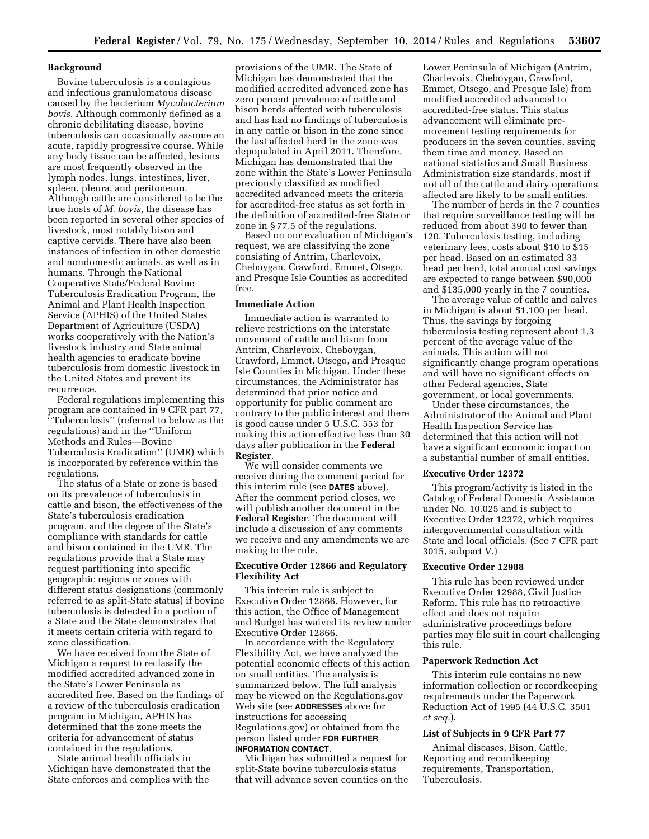# **Background**

Bovine tuberculosis is a contagious and infectious granulomatous disease caused by the bacterium *Mycobacterium bovis.* Although commonly defined as a chronic debilitating disease, bovine tuberculosis can occasionally assume an acute, rapidly progressive course. While any body tissue can be affected, lesions are most frequently observed in the lymph nodes, lungs, intestines, liver, spleen, pleura, and peritoneum. Although cattle are considered to be the true hosts of *M. bovis,* the disease has been reported in several other species of livestock, most notably bison and captive cervids. There have also been instances of infection in other domestic and nondomestic animals, as well as in humans. Through the National Cooperative State/Federal Bovine Tuberculosis Eradication Program, the Animal and Plant Health Inspection Service (APHIS) of the United States Department of Agriculture (USDA) works cooperatively with the Nation's livestock industry and State animal health agencies to eradicate bovine tuberculosis from domestic livestock in the United States and prevent its recurrence.

Federal regulations implementing this program are contained in 9 CFR part 77, ''Tuberculosis'' (referred to below as the regulations) and in the ''Uniform Methods and Rules—Bovine Tuberculosis Eradication'' (UMR) which is incorporated by reference within the regulations.

The status of a State or zone is based on its prevalence of tuberculosis in cattle and bison, the effectiveness of the State's tuberculosis eradication program, and the degree of the State's compliance with standards for cattle and bison contained in the UMR. The regulations provide that a State may request partitioning into specific geographic regions or zones with different status designations (commonly referred to as split-State status) if bovine tuberculosis is detected in a portion of a State and the State demonstrates that it meets certain criteria with regard to zone classification.

We have received from the State of Michigan a request to reclassify the modified accredited advanced zone in the State's Lower Peninsula as accredited free. Based on the findings of a review of the tuberculosis eradication program in Michigan, APHIS has determined that the zone meets the criteria for advancement of status contained in the regulations.

State animal health officials in Michigan have demonstrated that the State enforces and complies with the

provisions of the UMR. The State of Michigan has demonstrated that the modified accredited advanced zone has zero percent prevalence of cattle and bison herds affected with tuberculosis and has had no findings of tuberculosis in any cattle or bison in the zone since the last affected herd in the zone was depopulated in April 2011. Therefore, Michigan has demonstrated that the zone within the State's Lower Peninsula previously classified as modified accredited advanced meets the criteria for accredited-free status as set forth in the definition of accredited-free State or zone in § 77.5 of the regulations.

Based on our evaluation of Michigan's request, we are classifying the zone consisting of Antrim, Charlevoix, Cheboygan, Crawford, Emmet, Otsego, and Presque Isle Counties as accredited free.

# **Immediate Action**

Immediate action is warranted to relieve restrictions on the interstate movement of cattle and bison from Antrim, Charlevoix, Cheboygan, Crawford, Emmet, Otsego, and Presque Isle Counties in Michigan. Under these circumstances, the Administrator has determined that prior notice and opportunity for public comment are contrary to the public interest and there is good cause under 5 U.S.C. 553 for making this action effective less than 30 days after publication in the **Federal Register**.

We will consider comments we receive during the comment period for this interim rule (see **DATES** above). After the comment period closes, we will publish another document in the **Federal Register**. The document will include a discussion of any comments we receive and any amendments we are making to the rule.

## **Executive Order 12866 and Regulatory Flexibility Act**

This interim rule is subject to Executive Order 12866. However, for this action, the Office of Management and Budget has waived its review under Executive Order 12866.

In accordance with the Regulatory Flexibility Act, we have analyzed the potential economic effects of this action on small entities. The analysis is summarized below. The full analysis may be viewed on the Regulations.gov Web site (see **ADDRESSES** above for instructions for accessing Regulations.gov) or obtained from the person listed under **FOR FURTHER INFORMATION CONTACT**.

Michigan has submitted a request for split-State bovine tuberculosis status that will advance seven counties on the Lower Peninsula of Michigan (Antrim, Charlevoix, Cheboygan, Crawford, Emmet, Otsego, and Presque Isle) from modified accredited advanced to accredited-free status. This status advancement will eliminate premovement testing requirements for producers in the seven counties, saving them time and money. Based on national statistics and Small Business Administration size standards, most if not all of the cattle and dairy operations affected are likely to be small entities.

The number of herds in the 7 counties that require surveillance testing will be reduced from about 390 to fewer than 120. Tuberculosis testing, including veterinary fees, costs about \$10 to \$15 per head. Based on an estimated 33 head per herd, total annual cost savings are expected to range between \$90,000 and \$135,000 yearly in the 7 counties.

The average value of cattle and calves in Michigan is about \$1,100 per head. Thus, the savings by forgoing tuberculosis testing represent about 1.3 percent of the average value of the animals. This action will not significantly change program operations and will have no significant effects on other Federal agencies, State government, or local governments.

Under these circumstances, the Administrator of the Animal and Plant Health Inspection Service has determined that this action will not have a significant economic impact on a substantial number of small entities.

# **Executive Order 12372**

This program/activity is listed in the Catalog of Federal Domestic Assistance under No. 10.025 and is subject to Executive Order 12372, which requires intergovernmental consultation with State and local officials. (See 7 CFR part 3015, subpart V.)

#### **Executive Order 12988**

This rule has been reviewed under Executive Order 12988, Civil Justice Reform. This rule has no retroactive effect and does not require administrative proceedings before parties may file suit in court challenging this rule.

#### **Paperwork Reduction Act**

This interim rule contains no new information collection or recordkeeping requirements under the Paperwork Reduction Act of 1995 (44 U.S.C. 3501 *et seq.*).

# **List of Subjects in 9 CFR Part 77**

Animal diseases, Bison, Cattle, Reporting and recordkeeping requirements, Transportation, Tuberculosis.